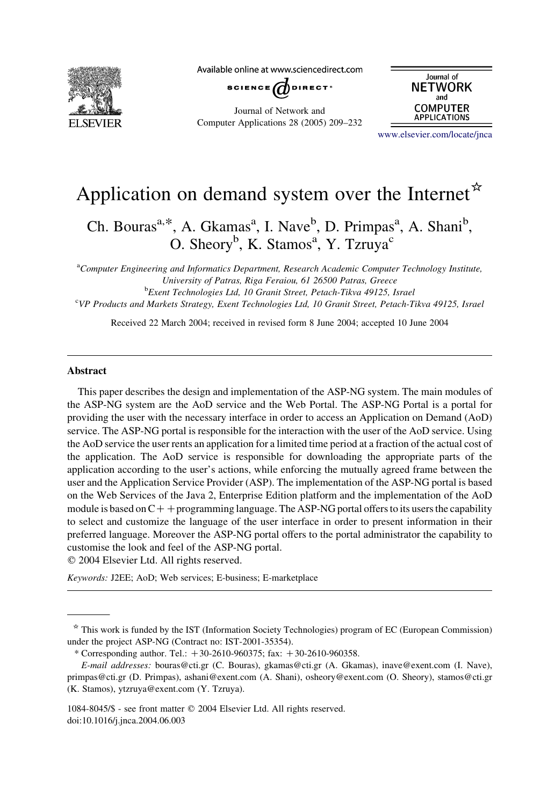

Available online at www.sciencedirect.com

SCIENCE  $\bigcirc$  DIRECT<sup>®</sup>

Journal of Network and Computer Applications 28 (2005) 209–232



[www.elsevier.com/locate/jnca](http://www.elsevier.com/locate/jnca)

# Application on demand system over the Internet<sup> $\tilde{\tau}$ </sup>

Ch. Bouras<sup>a,\*</sup>, A. Gkamas<sup>a</sup>, I. Nave<sup>b</sup>, D. Primpas<sup>a</sup>, A. Shani<sup>b</sup>, O. Sheory<sup>b</sup>, K. Stamos<sup>a</sup>, Y. Tzruya<sup>c</sup>

<sup>a</sup>Computer Engineering and Informatics Department, Research Academic Computer Technology Institute, University of Patras, Riga Feraiou, 61 26500 Patras, Greece **b** Exent Technologies Ltd, 10 Granit Street, Petach-Tikva 49125, Israel c VP Products and Markets Strategy, Exent Technologies Ltd, 10 Granit Street, Petach-Tikva 49125, Israel

Received 22 March 2004; received in revised form 8 June 2004; accepted 10 June 2004

#### Abstract

This paper describes the design and implementation of the ASP-NG system. The main modules of the ASP-NG system are the AoD service and the Web Portal. The ASP-NG Portal is a portal for providing the user with the necessary interface in order to access an Application on Demand (AoD) service. The ASP-NG portal is responsible for the interaction with the user of the AoD service. Using the AoD service the user rents an application for a limited time period at a fraction of the actual cost of the application. The AoD service is responsible for downloading the appropriate parts of the application according to the user's actions, while enforcing the mutually agreed frame between the user and the Application Service Provider (ASP). The implementation of the ASP-NG portal is based on the Web Services of the Java 2, Enterprise Edition platform and the implementation of the AoD module is based on  $C^{\dagger}$  + programming language. The ASP-NG portal offers to its users the capability to select and customize the language of the user interface in order to present information in their preferred language. Moreover the ASP-NG portal offers to the portal administrator the capability to customise the look and feel of the ASP-NG portal.

 $Q$  2004 Elsevier Ltd. All rights reserved.

Keywords: J2EE; AoD; Web services; E-business; E-marketplace

<sup>\*</sup> This work is funded by the IST (Information Society Technologies) program of EC (European Commission) under the project ASP-NG (Contract no: IST-2001-35354).

<sup>\*</sup> Corresponding author. Tel.:  $+30-2610-960375$ ; fax:  $+30-2610-960358$ .

E-mail addresses: bouras@cti.gr (C. Bouras), gkamas@cti.gr (A. Gkamas), inave@exent.com (I. Nave), primpas@cti.gr (D. Primpas), ashani@exent.com (A. Shani), osheory@exent.com (O. Sheory), stamos@cti.gr (K. Stamos), ytzruya@exent.com (Y. Tzruya).

<sup>1084-8045/\$ -</sup> see front matter q 2004 Elsevier Ltd. All rights reserved. doi:10.1016/j.jnca.2004.06.003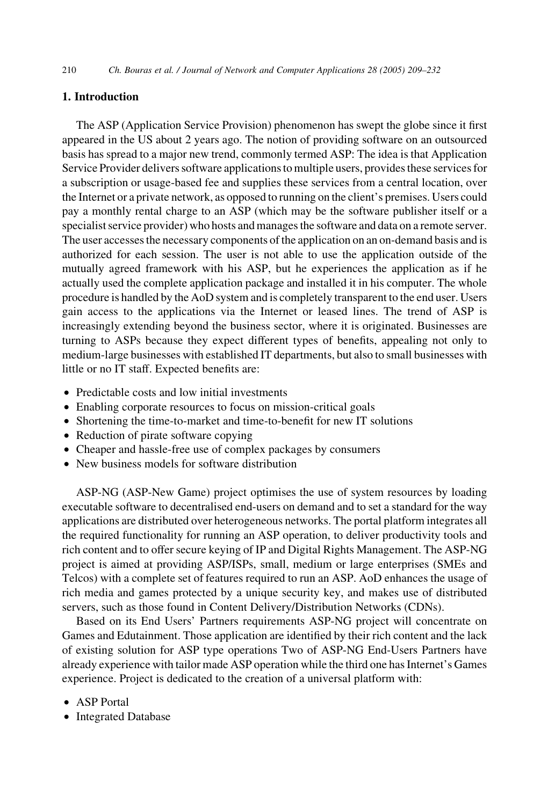# 1. Introduction

The ASP (Application Service Provision) phenomenon has swept the globe since it first appeared in the US about 2 years ago. The notion of providing software on an outsourced basis has spread to a major new trend, commonly termed ASP: The idea is that Application Service Provider delivers software applications to multiple users, provides these services for a subscription or usage-based fee and supplies these services from a central location, over the Internet or a private network, as opposed to running on the client's premises. Users could pay a monthly rental charge to an ASP (which may be the software publisher itself or a specialist service provider) who hosts and manages the software and data on a remote server. The user accesses the necessary components of the application on an on-demand basis and is authorized for each session. The user is not able to use the application outside of the mutually agreed framework with his ASP, but he experiences the application as if he actually used the complete application package and installed it in his computer. The whole procedure is handled by the AoD system and is completely transparent to the end user. Users gain access to the applications via the Internet or leased lines. The trend of ASP is increasingly extending beyond the business sector, where it is originated. Businesses are turning to ASPs because they expect different types of benefits, appealing not only to medium-large businesses with established IT departments, but also to small businesses with little or no IT staff. Expected benefits are:

- Predictable costs and low initial investments
- Enabling corporate resources to focus on mission-critical goals
- Shortening the time-to-market and time-to-benefit for new IT solutions
- Reduction of pirate software copying
- † Cheaper and hassle-free use of complex packages by consumers
- New business models for software distribution

ASP-NG (ASP-New Game) project optimises the use of system resources by loading executable software to decentralised end-users on demand and to set a standard for the way applications are distributed over heterogeneous networks. The portal platform integrates all the required functionality for running an ASP operation, to deliver productivity tools and rich content and to offer secure keying of IP and Digital Rights Management. The ASP-NG project is aimed at providing ASP/ISPs, small, medium or large enterprises (SMEs and Telcos) with a complete set of features required to run an ASP. AoD enhances the usage of rich media and games protected by a unique security key, and makes use of distributed servers, such as those found in Content Delivery/Distribution Networks (CDNs).

Based on its End Users' Partners requirements ASP-NG project will concentrate on Games and Edutainment. Those application are identified by their rich content and the lack of existing solution for ASP type operations Two of ASP-NG End-Users Partners have already experience with tailor made ASP operation while the third one has Internet's Games experience. Project is dedicated to the creation of a universal platform with:

- ASP Portal
- Integrated Database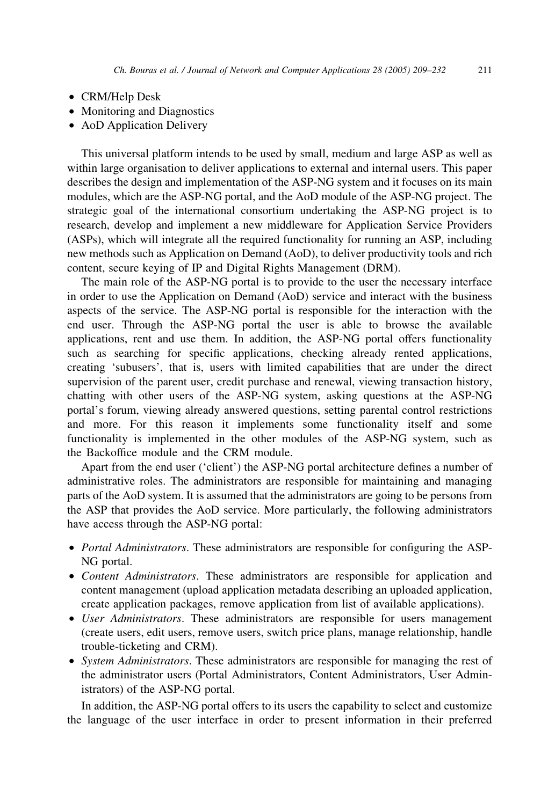- CRM/Help Desk
- Monitoring and Diagnostics
- AoD Application Delivery

This universal platform intends to be used by small, medium and large ASP as well as within large organisation to deliver applications to external and internal users. This paper describes the design and implementation of the ASP-NG system and it focuses on its main modules, which are the ASP-NG portal, and the AoD module of the ASP-NG project. The strategic goal of the international consortium undertaking the ASP-NG project is to research, develop and implement a new middleware for Application Service Providers (ASPs), which will integrate all the required functionality for running an ASP, including new methods such as Application on Demand (AoD), to deliver productivity tools and rich content, secure keying of IP and Digital Rights Management (DRM).

The main role of the ASP-NG portal is to provide to the user the necessary interface in order to use the Application on Demand (AoD) service and interact with the business aspects of the service. The ASP-NG portal is responsible for the interaction with the end user. Through the ASP-NG portal the user is able to browse the available applications, rent and use them. In addition, the ASP-NG portal offers functionality such as searching for specific applications, checking already rented applications, creating 'subusers', that is, users with limited capabilities that are under the direct supervision of the parent user, credit purchase and renewal, viewing transaction history, chatting with other users of the ASP-NG system, asking questions at the ASP-NG portal's forum, viewing already answered questions, setting parental control restrictions and more. For this reason it implements some functionality itself and some functionality is implemented in the other modules of the ASP-NG system, such as the Backoffice module and the CRM module.

Apart from the end user ('client') the ASP-NG portal architecture defines a number of administrative roles. The administrators are responsible for maintaining and managing parts of the AoD system. It is assumed that the administrators are going to be persons from the ASP that provides the AoD service. More particularly, the following administrators have access through the ASP-NG portal:

- Portal Administrators. These administrators are responsible for configuring the ASP-NG portal.
- Content Administrators. These administrators are responsible for application and content management (upload application metadata describing an uploaded application, create application packages, remove application from list of available applications).
- User Administrators. These administrators are responsible for users management (create users, edit users, remove users, switch price plans, manage relationship, handle trouble-ticketing and CRM).
- System Administrators. These administrators are responsible for managing the rest of the administrator users (Portal Administrators, Content Administrators, User Administrators) of the ASP-NG portal.

In addition, the ASP-NG portal offers to its users the capability to select and customize the language of the user interface in order to present information in their preferred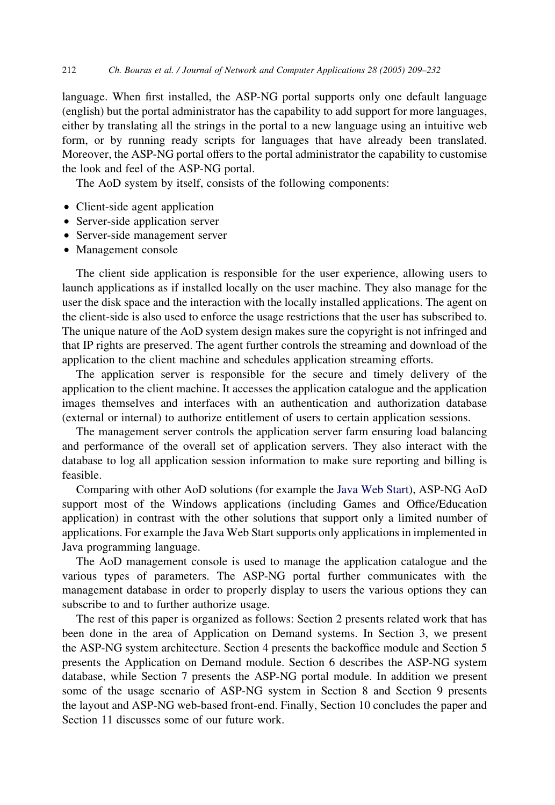language. When first installed, the ASP-NG portal supports only one default language (english) but the portal administrator has the capability to add support for more languages, either by translating all the strings in the portal to a new language using an intuitive web form, or by running ready scripts for languages that have already been translated. Moreover, the ASP-NG portal offers to the portal administrator the capability to customise the look and feel of the ASP-NG portal.

The AoD system by itself, consists of the following components:

- Client-side agent application
- Server-side application server
- Server-side management server
- Management console

The client side application is responsible for the user experience, allowing users to launch applications as if installed locally on the user machine. They also manage for the user the disk space and the interaction with the locally installed applications. The agent on the client-side is also used to enforce the usage restrictions that the user has subscribed to. The unique nature of the AoD system design makes sure the copyright is not infringed and that IP rights are preserved. The agent further controls the streaming and download of the application to the client machine and schedules application streaming efforts.

The application server is responsible for the secure and timely delivery of the application to the client machine. It accesses the application catalogue and the application images themselves and interfaces with an authentication and authorization database (external or internal) to authorize entitlement of users to certain application sessions.

The management server controls the application server farm ensuring load balancing and performance of the overall set of application servers. They also interact with the database to log all application session information to make sure reporting and billing is feasible.

Comparing with other AoD solutions (for example the [Java Web Start\)](#page-21-0), ASP-NG AoD support most of the Windows applications (including Games and Office/Education application) in contrast with the other solutions that support only a limited number of applications. For example the Java Web Start supports only applications in implemented in Java programming language.

The AoD management console is used to manage the application catalogue and the various types of parameters. The ASP-NG portal further communicates with the management database in order to properly display to users the various options they can subscribe to and to further authorize usage.

The rest of this paper is organized as follows: Section 2 presents related work that has been done in the area of Application on Demand systems. In Section 3, we present the ASP-NG system architecture. Section 4 presents the backoffice module and Section 5 presents the Application on Demand module. Section 6 describes the ASP-NG system database, while Section 7 presents the ASP-NG portal module. In addition we present some of the usage scenario of ASP-NG system in Section 8 and Section 9 presents the layout and ASP-NG web-based front-end. Finally, Section 10 concludes the paper and Section 11 discusses some of our future work.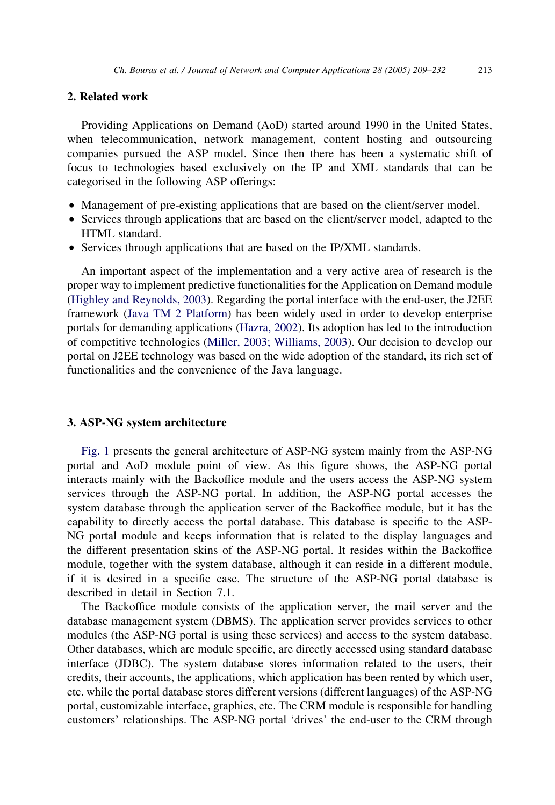### 2. Related work

Providing Applications on Demand (AoD) started around 1990 in the United States, when telecommunication, network management, content hosting and outsourcing companies pursued the ASP model. Since then there has been a systematic shift of focus to technologies based exclusively on the IP and XML standards that can be categorised in the following ASP offerings:

- Management of pre-existing applications that are based on the client/server model.
- Services through applications that are based on the client/server model, adapted to the HTML standard.
- Services through applications that are based on the IP/XML standards.

An important aspect of the implementation and a very active area of research is the proper way to implement predictive functionalities for the Application on Demand module [\(Highley and Reynolds, 2003](#page-21-0)). Regarding the portal interface with the end-user, the J2EE framework ([Java TM 2 Platform\)](#page-21-0) has been widely used in order to develop enterprise portals for demanding applications [\(Hazra, 2002](#page-21-0)). Its adoption has led to the introduction of competitive technologies [\(Miller, 2003; Williams, 2003](#page-21-0)). Our decision to develop our portal on J2EE technology was based on the wide adoption of the standard, its rich set of functionalities and the convenience of the Java language.

#### 3. ASP-NG system architecture

[Fig. 1](#page-5-0) presents the general architecture of ASP-NG system mainly from the ASP-NG portal and AoD module point of view. As this figure shows, the ASP-NG portal interacts mainly with the Backoffice module and the users access the ASP-NG system services through the ASP-NG portal. In addition, the ASP-NG portal accesses the system database through the application server of the Backoffice module, but it has the capability to directly access the portal database. This database is specific to the ASP-NG portal module and keeps information that is related to the display languages and the different presentation skins of the ASP-NG portal. It resides within the Backoffice module, together with the system database, although it can reside in a different module, if it is desired in a specific case. The structure of the ASP-NG portal database is described in detail in Section 7.1.

The Backoffice module consists of the application server, the mail server and the database management system (DBMS). The application server provides services to other modules (the ASP-NG portal is using these services) and access to the system database. Other databases, which are module specific, are directly accessed using standard database interface (JDBC). The system database stores information related to the users, their credits, their accounts, the applications, which application has been rented by which user, etc. while the portal database stores different versions (different languages) of the ASP-NG portal, customizable interface, graphics, etc. The CRM module is responsible for handling customers' relationships. The ASP-NG portal 'drives' the end-user to the CRM through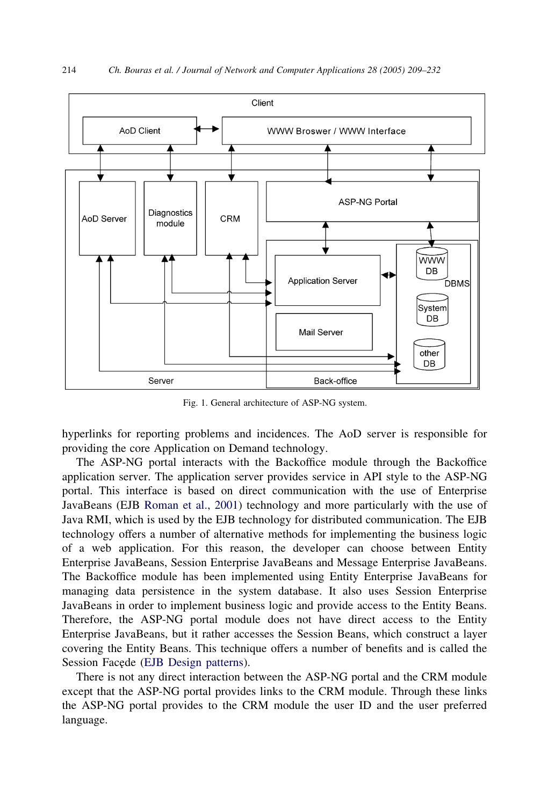<span id="page-5-0"></span>

Fig. 1. General architecture of ASP-NG system.

hyperlinks for reporting problems and incidences. The AoD server is responsible for providing the core Application on Demand technology.

The ASP-NG portal interacts with the Backoffice module through the Backoffice application server. The application server provides service in API style to the ASP-NG portal. This interface is based on direct communication with the use of Enterprise JavaBeans (EJB [Roman et al., 2001](#page-21-0)) technology and more particularly with the use of Java RMI, which is used by the EJB technology for distributed communication. The EJB technology offers a number of alternative methods for implementing the business logic of a web application. For this reason, the developer can choose between Entity Enterprise JavaBeans, Session Enterprise JavaBeans and Message Enterprise JavaBeans. The Backoffice module has been implemented using Entity Enterprise JavaBeans for managing data persistence in the system database. It also uses Session Enterprise JavaBeans in order to implement business logic and provide access to the Entity Beans. Therefore, the ASP-NG portal module does not have direct access to the Entity Enterprise JavaBeans, but it rather accesses the Session Beans, which construct a layer covering the Entity Beans. This technique offers a number of benefits and is called the Session Facede ([EJB Design patterns\)](#page-21-0).

There is not any direct interaction between the ASP-NG portal and the CRM module except that the ASP-NG portal provides links to the CRM module. Through these links the ASP-NG portal provides to the CRM module the user ID and the user preferred language.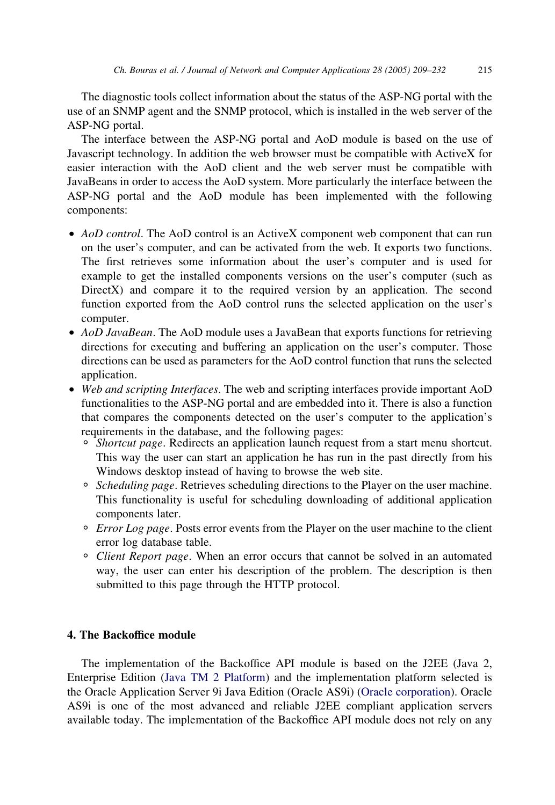The diagnostic tools collect information about the status of the ASP-NG portal with the use of an SNMP agent and the SNMP protocol, which is installed in the web server of the ASP-NG portal.

The interface between the ASP-NG portal and AoD module is based on the use of Javascript technology. In addition the web browser must be compatible with ActiveX for easier interaction with the AoD client and the web server must be compatible with JavaBeans in order to access the AoD system. More particularly the interface between the ASP-NG portal and the AoD module has been implemented with the following components:

- AoD control. The AoD control is an ActiveX component web component that can run on the user's computer, and can be activated from the web. It exports two functions. The first retrieves some information about the user's computer and is used for example to get the installed components versions on the user's computer (such as DirectX) and compare it to the required version by an application. The second function exported from the AoD control runs the selected application on the user's computer.
- $\bullet$  AoD JavaBean. The AoD module uses a JavaBean that exports functions for retrieving directions for executing and buffering an application on the user's computer. Those directions can be used as parameters for the AoD control function that runs the selected application.
- Web and scripting Interfaces. The web and scripting interfaces provide important AoD functionalities to the ASP-NG portal and are embedded into it. There is also a function that compares the components detected on the user's computer to the application's requirements in the database, and the following pages:
	- $\circ$  Shortcut page. Redirects an application launch request from a start menu shortcut. This way the user can start an application he has run in the past directly from his Windows desktop instead of having to browse the web site.
	- Scheduling page. Retrieves scheduling directions to the Player on the user machine. This functionality is useful for scheduling downloading of additional application components later.
	- $\circ$  *Error Log page.* Posts error events from the Player on the user machine to the client error log database table.
	- Client Report page. When an error occurs that cannot be solved in an automated way, the user can enter his description of the problem. The description is then submitted to this page through the HTTP protocol.

# 4. The Backoffice module

The implementation of the Backoffice API module is based on the J2EE (Java 2, Enterprise Edition ([Java TM 2 Platform](#page-21-0)) and the implementation platform selected is the Oracle Application Server 9i Java Edition (Oracle AS9i) ([Oracle corporation](#page-21-0)). Oracle AS9i is one of the most advanced and reliable J2EE compliant application servers available today. The implementation of the Backoffice API module does not rely on any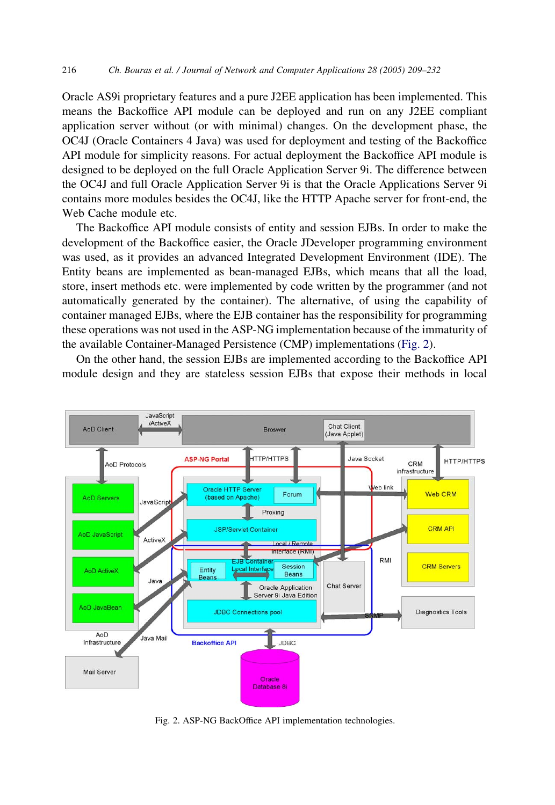Oracle AS9i proprietary features and a pure J2EE application has been implemented. This means the Backoffice API module can be deployed and run on any J2EE compliant application server without (or with minimal) changes. On the development phase, the OC4J (Oracle Containers 4 Java) was used for deployment and testing of the Backoffice API module for simplicity reasons. For actual deployment the Backoffice API module is designed to be deployed on the full Oracle Application Server 9i. The difference between the OC4J and full Oracle Application Server 9i is that the Oracle Applications Server 9i contains more modules besides the OC4J, like the HTTP Apache server for front-end, the Web Cache module etc.

The Backoffice API module consists of entity and session EJBs. In order to make the development of the Backoffice easier, the Oracle JDeveloper programming environment was used, as it provides an advanced Integrated Development Environment (IDE). The Entity beans are implemented as bean-managed EJBs, which means that all the load, store, insert methods etc. were implemented by code written by the programmer (and not automatically generated by the container). The alternative, of using the capability of container managed EJBs, where the EJB container has the responsibility for programming these operations was not used in the ASP-NG implementation because of the immaturity of the available Container-Managed Persistence (CMP) implementations (Fig. 2).

On the other hand, the session EJBs are implemented according to the Backoffice API module design and they are stateless session EJBs that expose their methods in local



Fig. 2. ASP-NG BackOffice API implementation technologies.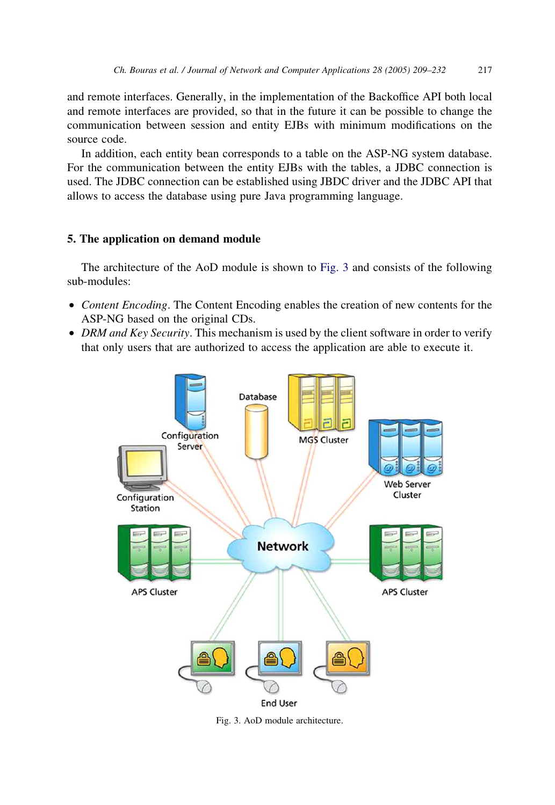and remote interfaces. Generally, in the implementation of the Backoffice API both local and remote interfaces are provided, so that in the future it can be possible to change the communication between session and entity EJBs with minimum modifications on the source code.

In addition, each entity bean corresponds to a table on the ASP-NG system database. For the communication between the entity EJBs with the tables, a JDBC connection is used. The JDBC connection can be established using JBDC driver and the JDBC API that allows to access the database using pure Java programming language.

# 5. The application on demand module

The architecture of the AoD module is shown to Fig. 3 and consists of the following sub-modules:

- Content Encoding. The Content Encoding enables the creation of new contents for the ASP-NG based on the original CDs.
- DRM and Key Security. This mechanism is used by the client software in order to verify that only users that are authorized to access the application are able to execute it.



Fig. 3. AoD module architecture.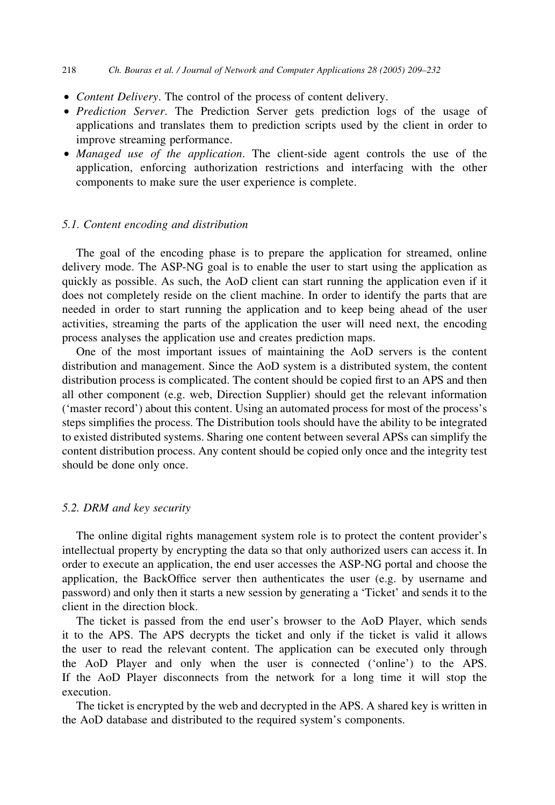#### 218 Ch. Bouras et al. / Journal of Network and Computer Applications 28 (2005) 209–232

- Content Delivery. The control of the process of content delivery.
- Prediction Server. The Prediction Server gets prediction logs of the usage of applications and translates them to prediction scripts used by the client in order to improve streaming performance.
- Managed use of the application. The client-side agent controls the use of the application, enforcing authorization restrictions and interfacing with the other components to make sure the user experience is complete.

## 5.1. Content encoding and distribution

The goal of the encoding phase is to prepare the application for streamed, online delivery mode. The ASP-NG goal is to enable the user to start using the application as quickly as possible. As such, the AoD client can start running the application even if it does not completely reside on the client machine. In order to identify the parts that are needed in order to start running the application and to keep being ahead of the user activities, streaming the parts of the application the user will need next, the encoding process analyses the application use and creates prediction maps.

One of the most important issues of maintaining the AoD servers is the content distribution and management. Since the AoD system is a distributed system, the content distribution process is complicated. The content should be copied first to an APS and then all other component (e.g. web, Direction Supplier) should get the relevant information ('master record') about this content. Using an automated process for most of the process's steps simplifies the process. The Distribution tools should have the ability to be integrated to existed distributed systems. Sharing one content between several APSs can simplify the content distribution process. Any content should be copied only once and the integrity test should be done only once.

## 5.2. DRM and key security

The online digital rights management system role is to protect the content provider's intellectual property by encrypting the data so that only authorized users can access it. In order to execute an application, the end user accesses the ASP-NG portal and choose the application, the BackOffice server then authenticates the user (e.g. by username and password) and only then it starts a new session by generating a 'Ticket' and sends it to the client in the direction block.

The ticket is passed from the end user's browser to the AoD Player, which sends it to the APS. The APS decrypts the ticket and only if the ticket is valid it allows the user to read the relevant content. The application can be executed only through the AoD Player and only when the user is connected ('online') to the APS. If the AoD Player disconnects from the network for a long time it will stop the execution.

The ticket is encrypted by the web and decrypted in the APS. A shared key is written in the AoD database and distributed to the required system's components.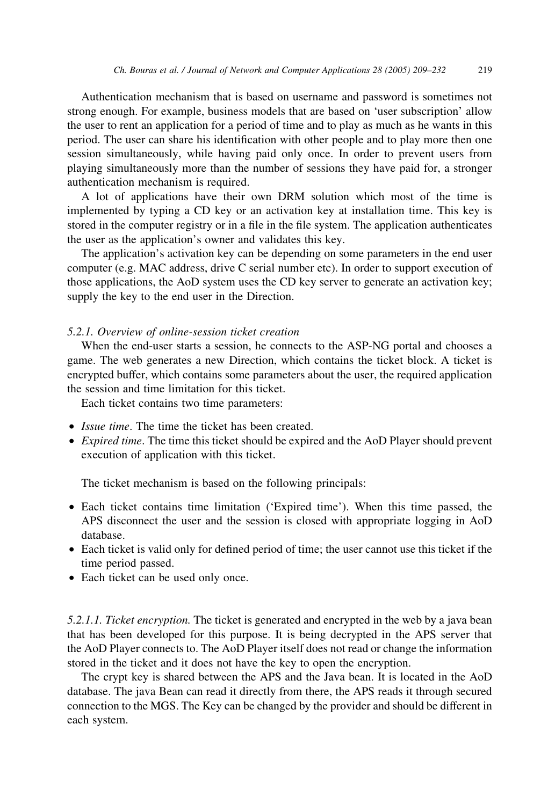Authentication mechanism that is based on username and password is sometimes not strong enough. For example, business models that are based on 'user subscription' allow the user to rent an application for a period of time and to play as much as he wants in this period. The user can share his identification with other people and to play more then one session simultaneously, while having paid only once. In order to prevent users from playing simultaneously more than the number of sessions they have paid for, a stronger authentication mechanism is required.

A lot of applications have their own DRM solution which most of the time is implemented by typing a CD key or an activation key at installation time. This key is stored in the computer registry or in a file in the file system. The application authenticates the user as the application's owner and validates this key.

The application's activation key can be depending on some parameters in the end user computer (e.g. MAC address, drive C serial number etc). In order to support execution of those applications, the AoD system uses the CD key server to generate an activation key; supply the key to the end user in the Direction.

### 5.2.1. Overview of online-session ticket creation

When the end-user starts a session, he connects to the ASP-NG portal and chooses a game. The web generates a new Direction, which contains the ticket block. A ticket is encrypted buffer, which contains some parameters about the user, the required application the session and time limitation for this ticket.

Each ticket contains two time parameters:

- *Issue time*. The time the ticket has been created.
- Expired time. The time this ticket should be expired and the AoD Player should prevent execution of application with this ticket.

The ticket mechanism is based on the following principals:

- Each ticket contains time limitation ('Expired time'). When this time passed, the APS disconnect the user and the session is closed with appropriate logging in AoD database.
- Each ticket is valid only for defined period of time; the user cannot use this ticket if the time period passed.
- Each ticket can be used only once.

5.2.1.1. Ticket encryption. The ticket is generated and encrypted in the web by a java bean that has been developed for this purpose. It is being decrypted in the APS server that the AoD Player connects to. The AoD Player itself does not read or change the information stored in the ticket and it does not have the key to open the encryption.

The crypt key is shared between the APS and the Java bean. It is located in the AoD database. The java Bean can read it directly from there, the APS reads it through secured connection to the MGS. The Key can be changed by the provider and should be different in each system.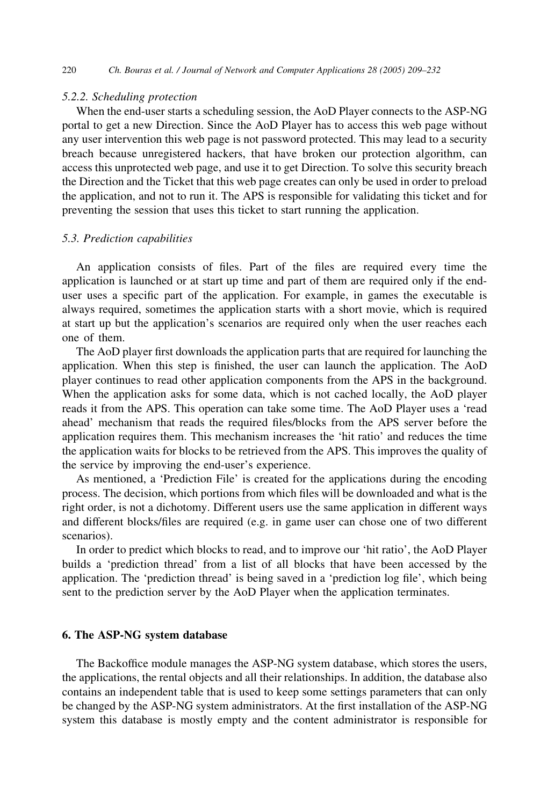#### 5.2.2. Scheduling protection

When the end-user starts a scheduling session, the AoD Player connects to the ASP-NG portal to get a new Direction. Since the AoD Player has to access this web page without any user intervention this web page is not password protected. This may lead to a security breach because unregistered hackers, that have broken our protection algorithm, can access this unprotected web page, and use it to get Direction. To solve this security breach the Direction and the Ticket that this web page creates can only be used in order to preload the application, and not to run it. The APS is responsible for validating this ticket and for preventing the session that uses this ticket to start running the application.

#### 5.3. Prediction capabilities

An application consists of files. Part of the files are required every time the application is launched or at start up time and part of them are required only if the enduser uses a specific part of the application. For example, in games the executable is always required, sometimes the application starts with a short movie, which is required at start up but the application's scenarios are required only when the user reaches each one of them.

The AoD player first downloads the application parts that are required for launching the application. When this step is finished, the user can launch the application. The AoD player continues to read other application components from the APS in the background. When the application asks for some data, which is not cached locally, the AoD player reads it from the APS. This operation can take some time. The AoD Player uses a 'read ahead' mechanism that reads the required files/blocks from the APS server before the application requires them. This mechanism increases the 'hit ratio' and reduces the time the application waits for blocks to be retrieved from the APS. This improves the quality of the service by improving the end-user's experience.

As mentioned, a 'Prediction File' is created for the applications during the encoding process. The decision, which portions from which files will be downloaded and what is the right order, is not a dichotomy. Different users use the same application in different ways and different blocks/files are required (e.g. in game user can chose one of two different scenarios).

In order to predict which blocks to read, and to improve our 'hit ratio', the AoD Player builds a 'prediction thread' from a list of all blocks that have been accessed by the application. The 'prediction thread' is being saved in a 'prediction log file', which being sent to the prediction server by the AoD Player when the application terminates.

## 6. The ASP-NG system database

The Backoffice module manages the ASP-NG system database, which stores the users, the applications, the rental objects and all their relationships. In addition, the database also contains an independent table that is used to keep some settings parameters that can only be changed by the ASP-NG system administrators. At the first installation of the ASP-NG system this database is mostly empty and the content administrator is responsible for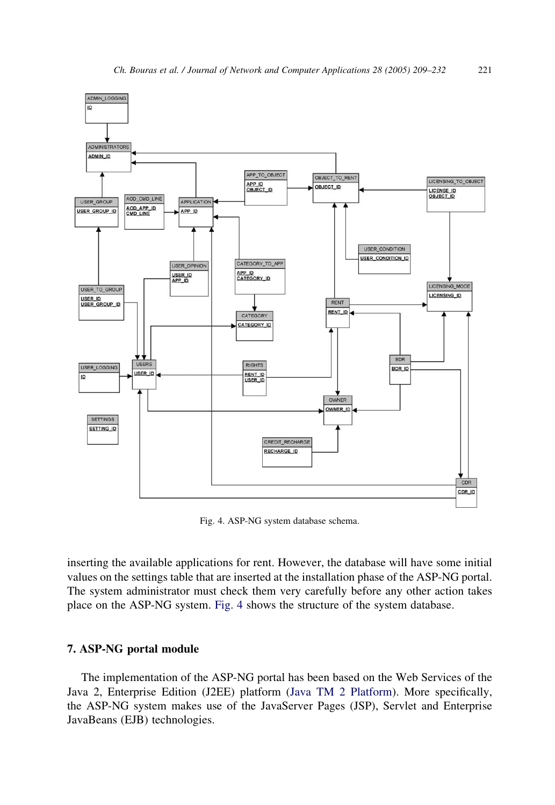

Fig. 4. ASP-NG system database schema.

inserting the available applications for rent. However, the database will have some initial values on the settings table that are inserted at the installation phase of the ASP-NG portal. The system administrator must check them very carefully before any other action takes place on the ASP-NG system. Fig. 4 shows the structure of the system database.

### 7. ASP-NG portal module

The implementation of the ASP-NG portal has been based on the Web Services of the Java 2, Enterprise Edition (J2EE) platform ([Java TM 2 Platform\)](#page-21-0). More specifically, the ASP-NG system makes use of the JavaServer Pages (JSP), Servlet and Enterprise JavaBeans (EJB) technologies.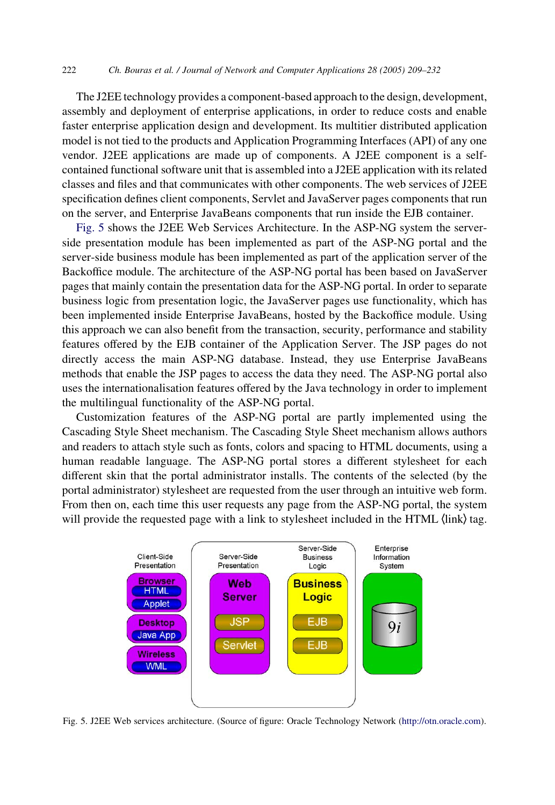The J2EE technology provides a component-based approach to the design, development, assembly and deployment of enterprise applications, in order to reduce costs and enable faster enterprise application design and development. Its multitier distributed application model is not tied to the products and Application Programming Interfaces (API) of any one vendor. J2EE applications are made up of components. A J2EE component is a selfcontained functional software unit that is assembled into a J2EE application with its related classes and files and that communicates with other components. The web services of J2EE specification defines client components, Servlet and JavaServer pages components that run on the server, and Enterprise JavaBeans components that run inside the EJB container.

Fig. 5 shows the J2EE Web Services Architecture. In the ASP-NG system the serverside presentation module has been implemented as part of the ASP-NG portal and the server-side business module has been implemented as part of the application server of the Backoffice module. The architecture of the ASP-NG portal has been based on JavaServer pages that mainly contain the presentation data for the ASP-NG portal. In order to separate business logic from presentation logic, the JavaServer pages use functionality, which has been implemented inside Enterprise JavaBeans, hosted by the Backoffice module. Using this approach we can also benefit from the transaction, security, performance and stability features offered by the EJB container of the Application Server. The JSP pages do not directly access the main ASP-NG database. Instead, they use Enterprise JavaBeans methods that enable the JSP pages to access the data they need. The ASP-NG portal also uses the internationalisation features offered by the Java technology in order to implement the multilingual functionality of the ASP-NG portal.

Customization features of the ASP-NG portal are partly implemented using the Cascading Style Sheet mechanism. The Cascading Style Sheet mechanism allows authors and readers to attach style such as fonts, colors and spacing to HTML documents, using a human readable language. The ASP-NG portal stores a different stylesheet for each different skin that the portal administrator installs. The contents of the selected (by the portal administrator) stylesheet are requested from the user through an intuitive web form. From then on, each time this user requests any page from the ASP-NG portal, the system will provide the requested page with a link to stylesheet included in the HTML  $\langle$ link $\rangle$  tag.



Fig. 5. J2EE Web services architecture. (Source of figure: Oracle Technology Network [\(http://otn.oracle.com\)](http://wp.netscape.com/eng/ssl3/draft302.txt).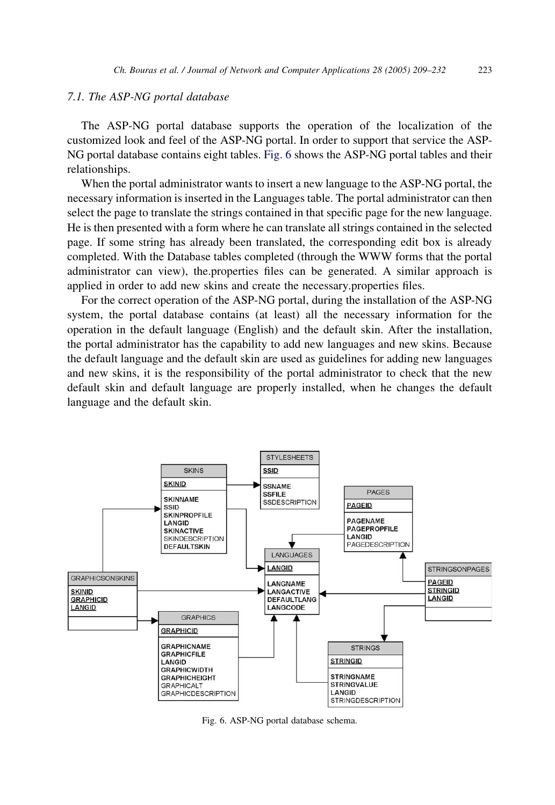### 7.1. The ASP-NG portal database

The ASP-NG portal database supports the operation of the localization of the customized look and feel of the ASP-NG portal. In order to support that service the ASP-NG portal database contains eight tables. Fig. 6 shows the ASP-NG portal tables and their relationships.

When the portal administrator wants to insert a new language to the ASP-NG portal, the necessary information is inserted in the Languages table. The portal administrator can then select the page to translate the strings contained in that specific page for the new language. He is then presented with a form where he can translate all strings contained in the selected page. If some string has already been translated, the corresponding edit box is already completed. With the Database tables completed (through the WWW forms that the portal administrator can view), the.properties files can be generated. A similar approach is applied in order to add new skins and create the necessary.properties files.

For the correct operation of the ASP-NG portal, during the installation of the ASP-NG system, the portal database contains (at least) all the necessary information for the operation in the default language (English) and the default skin. After the installation, the portal administrator has the capability to add new languages and new skins. Because the default language and the default skin are used as guidelines for adding new languages and new skins, it is the responsibility of the portal administrator to check that the new default skin and default language are properly installed, when he changes the default language and the default skin.



Fig. 6. ASP-NG portal database schema.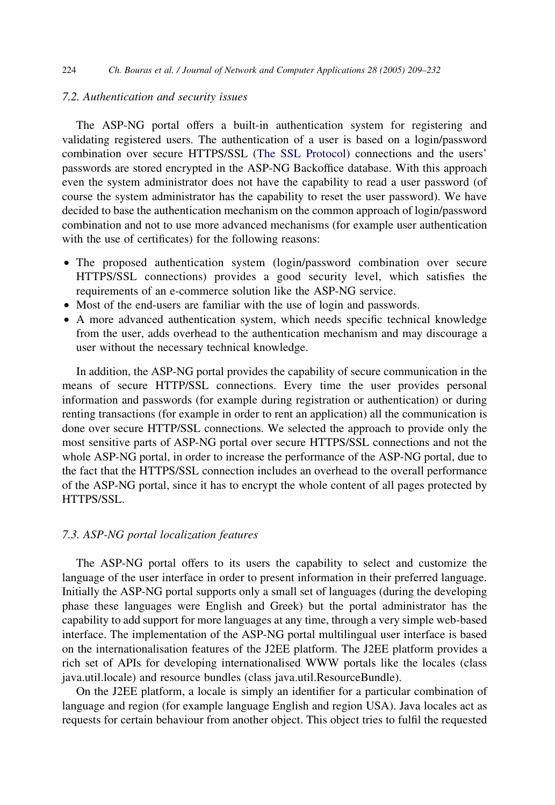#### 7.2. Authentication and security issues

The ASP-NG portal offers a built-in authentication system for registering and validating registered users. The authentication of a user is based on a login/password combination over secure HTTPS/SSL ([The SSL Protocol](#page-21-0)) connections and the users' passwords are stored encrypted in the ASP-NG Backoffice database. With this approach even the system administrator does not have the capability to read a user password (of course the system administrator has the capability to reset the user password). We have decided to base the authentication mechanism on the common approach of login/password combination and not to use more advanced mechanisms (for example user authentication with the use of certificates) for the following reasons:

- The proposed authentication system (login/password combination over secure HTTPS/SSL connections) provides a good security level, which satisfies the requirements of an e-commerce solution like the ASP-NG service.
- Most of the end-users are familiar with the use of login and passwords.
- † A more advanced authentication system, which needs specific technical knowledge from the user, adds overhead to the authentication mechanism and may discourage a user without the necessary technical knowledge.

In addition, the ASP-NG portal provides the capability of secure communication in the means of secure HTTP/SSL connections. Every time the user provides personal information and passwords (for example during registration or authentication) or during renting transactions (for example in order to rent an application) all the communication is done over secure HTTP/SSL connections. We selected the approach to provide only the most sensitive parts of ASP-NG portal over secure HTTPS/SSL connections and not the whole ASP-NG portal, in order to increase the performance of the ASP-NG portal, due to the fact that the HTTPS/SSL connection includes an overhead to the overall performance of the ASP-NG portal, since it has to encrypt the whole content of all pages protected by HTTPS/SSL.

## 7.3. ASP-NG portal localization features

The ASP-NG portal offers to its users the capability to select and customize the language of the user interface in order to present information in their preferred language. Initially the ASP-NG portal supports only a small set of languages (during the developing phase these languages were English and Greek) but the portal administrator has the capability to add support for more languages at any time, through a very simple web-based interface. The implementation of the ASP-NG portal multilingual user interface is based on the internationalisation features of the J2EE platform. The J2EE platform provides a rich set of APIs for developing internationalised WWW portals like the locales (class java.util.locale) and resource bundles (class java.util.ResourceBundle).

On the J2EE platform, a locale is simply an identifier for a particular combination of language and region (for example language English and region USA). Java locales act as requests for certain behaviour from another object. This object tries to fulfil the requested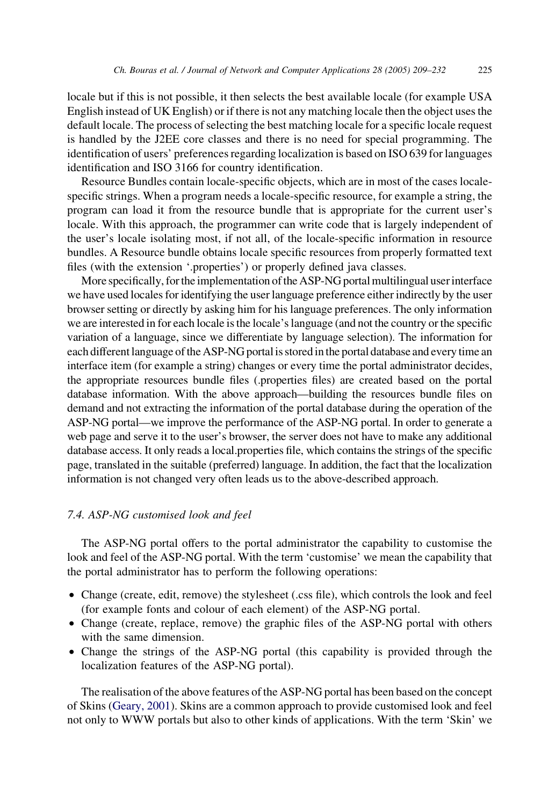locale but if this is not possible, it then selects the best available locale (for example USA English instead of UK English) or if there is not any matching locale then the object uses the default locale. The process of selecting the best matching locale for a specific locale request is handled by the J2EE core classes and there is no need for special programming. The identification of users' preferences regarding localization is based on ISO 639 for languages identification and ISO 3166 for country identification.

Resource Bundles contain locale-specific objects, which are in most of the cases localespecific strings. When a program needs a locale-specific resource, for example a string, the program can load it from the resource bundle that is appropriate for the current user's locale. With this approach, the programmer can write code that is largely independent of the user's locale isolating most, if not all, of the locale-specific information in resource bundles. A Resource bundle obtains locale specific resources from properly formatted text files (with the extension '.properties') or properly defined java classes.

More specifically, for the implementation of the ASP-NG portal multilingual user interface we have used locales for identifying the user language preference either indirectly by the user browser setting or directly by asking him for his language preferences. The only information we are interested in for each locale is the locale's language (and not the country or the specific variation of a language, since we differentiate by language selection). The information for each different language of the ASP-NG portal is stored in the portal database and every time an interface item (for example a string) changes or every time the portal administrator decides, the appropriate resources bundle files (.properties files) are created based on the portal database information. With the above approach—building the resources bundle files on demand and not extracting the information of the portal database during the operation of the ASP-NG portal—we improve the performance of the ASP-NG portal. In order to generate a web page and serve it to the user's browser, the server does not have to make any additional database access. It only reads a local.properties file, which contains the strings of the specific page, translated in the suitable (preferred) language. In addition, the fact that the localization information is not changed very often leads us to the above-described approach.

### 7.4. ASP-NG customised look and feel

The ASP-NG portal offers to the portal administrator the capability to customise the look and feel of the ASP-NG portal. With the term 'customise' we mean the capability that the portal administrator has to perform the following operations:

- Change (create, edit, remove) the stylesheet (.css file), which controls the look and feel (for example fonts and colour of each element) of the ASP-NG portal.
- Change (create, replace, remove) the graphic files of the ASP-NG portal with others with the same dimension.
- Change the strings of the ASP-NG portal (this capability is provided through the localization features of the ASP-NG portal).

The realisation of the above features of the ASP-NG portal has been based on the concept of Skins ([Geary, 2001\)](#page-21-0). Skins are a common approach to provide customised look and feel not only to WWW portals but also to other kinds of applications. With the term 'Skin' we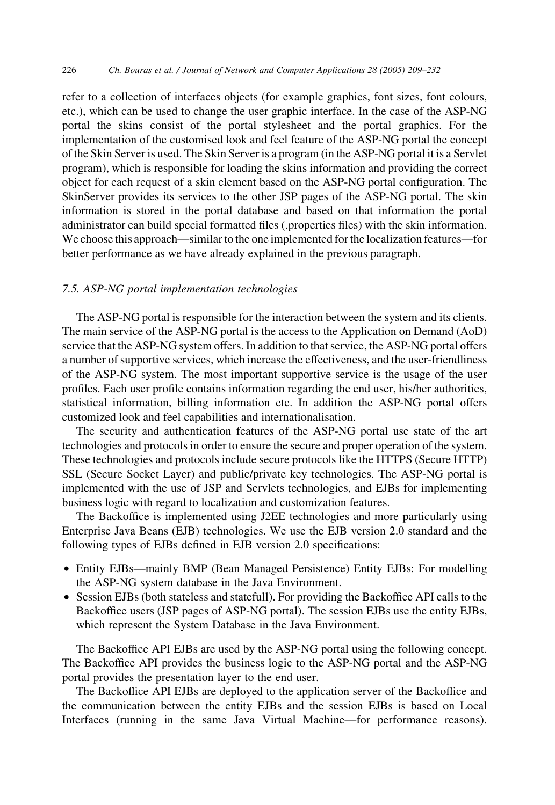refer to a collection of interfaces objects (for example graphics, font sizes, font colours, etc.), which can be used to change the user graphic interface. In the case of the ASP-NG portal the skins consist of the portal stylesheet and the portal graphics. For the implementation of the customised look and feel feature of the ASP-NG portal the concept of the Skin Server is used. The Skin Server is a program (in the ASP-NG portal it is a Servlet program), which is responsible for loading the skins information and providing the correct object for each request of a skin element based on the ASP-NG portal configuration. The SkinServer provides its services to the other JSP pages of the ASP-NG portal. The skin information is stored in the portal database and based on that information the portal administrator can build special formatted files (.properties files) with the skin information. We choose this approach—similar to the one implemented for the localization features—for better performance as we have already explained in the previous paragraph.

#### 7.5. ASP-NG portal implementation technologies

The ASP-NG portal is responsible for the interaction between the system and its clients. The main service of the ASP-NG portal is the access to the Application on Demand (AoD) service that the ASP-NG system offers. In addition to that service, the ASP-NG portal offers a number of supportive services, which increase the effectiveness, and the user-friendliness of the ASP-NG system. The most important supportive service is the usage of the user profiles. Each user profile contains information regarding the end user, his/her authorities, statistical information, billing information etc. In addition the ASP-NG portal offers customized look and feel capabilities and internationalisation.

The security and authentication features of the ASP-NG portal use state of the art technologies and protocols in order to ensure the secure and proper operation of the system. These technologies and protocols include secure protocols like the HTTPS (Secure HTTP) SSL (Secure Socket Layer) and public/private key technologies. The ASP-NG portal is implemented with the use of JSP and Servlets technologies, and EJBs for implementing business logic with regard to localization and customization features.

The Backoffice is implemented using J2EE technologies and more particularly using Enterprise Java Beans (EJB) technologies. We use the EJB version 2.0 standard and the following types of EJBs defined in EJB version 2.0 specifications:

- Entity EJBs—mainly BMP (Bean Managed Persistence) Entity EJBs: For modelling the ASP-NG system database in the Java Environment.
- Session EJBs (both stateless and statefull). For providing the Backoffice API calls to the Backoffice users (JSP pages of ASP-NG portal). The session EJBs use the entity EJBs, which represent the System Database in the Java Environment.

The Backoffice API EJBs are used by the ASP-NG portal using the following concept. The Backoffice API provides the business logic to the ASP-NG portal and the ASP-NG portal provides the presentation layer to the end user.

The Backoffice API EJBs are deployed to the application server of the Backoffice and the communication between the entity EJBs and the session EJBs is based on Local Interfaces (running in the same Java Virtual Machine—for performance reasons).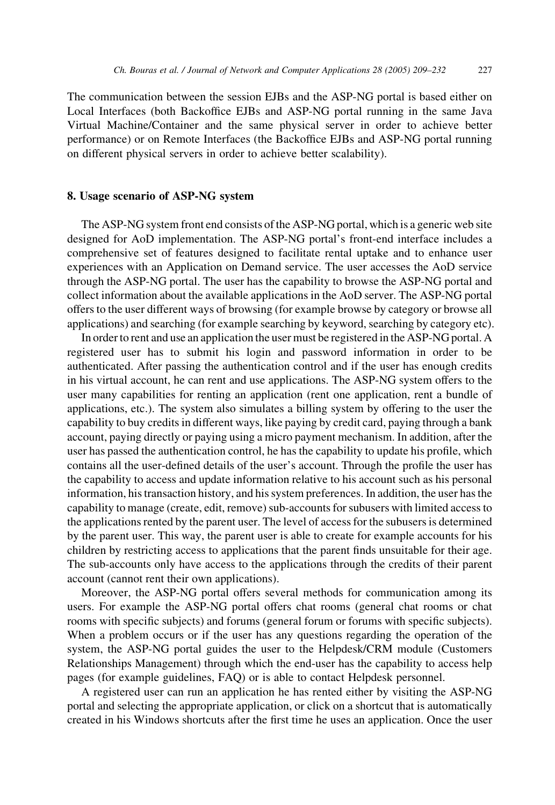The communication between the session EJBs and the ASP-NG portal is based either on Local Interfaces (both Backoffice EJBs and ASP-NG portal running in the same Java Virtual Machine/Container and the same physical server in order to achieve better performance) or on Remote Interfaces (the Backoffice EJBs and ASP-NG portal running on different physical servers in order to achieve better scalability).

## 8. Usage scenario of ASP-NG system

The ASP-NG system front end consists of the ASP-NG portal, which is a generic web site designed for AoD implementation. The ASP-NG portal's front-end interface includes a comprehensive set of features designed to facilitate rental uptake and to enhance user experiences with an Application on Demand service. The user accesses the AoD service through the ASP-NG portal. The user has the capability to browse the ASP-NG portal and collect information about the available applications in the AoD server. The ASP-NG portal offers to the user different ways of browsing (for example browse by category or browse all applications) and searching (for example searching by keyword, searching by category etc).

In order to rent and use an application the user must be registered in the ASP-NG portal. A registered user has to submit his login and password information in order to be authenticated. After passing the authentication control and if the user has enough credits in his virtual account, he can rent and use applications. The ASP-NG system offers to the user many capabilities for renting an application (rent one application, rent a bundle of applications, etc.). The system also simulates a billing system by offering to the user the capability to buy credits in different ways, like paying by credit card, paying through a bank account, paying directly or paying using a micro payment mechanism. In addition, after the user has passed the authentication control, he has the capability to update his profile, which contains all the user-defined details of the user's account. Through the profile the user has the capability to access and update information relative to his account such as his personal information, his transaction history, and his system preferences. In addition, the user has the capability to manage (create, edit, remove) sub-accounts for subusers with limited access to the applications rented by the parent user. The level of access for the subusers is determined by the parent user. This way, the parent user is able to create for example accounts for his children by restricting access to applications that the parent finds unsuitable for their age. The sub-accounts only have access to the applications through the credits of their parent account (cannot rent their own applications).

Moreover, the ASP-NG portal offers several methods for communication among its users. For example the ASP-NG portal offers chat rooms (general chat rooms or chat rooms with specific subjects) and forums (general forum or forums with specific subjects). When a problem occurs or if the user has any questions regarding the operation of the system, the ASP-NG portal guides the user to the Helpdesk/CRM module (Customers Relationships Management) through which the end-user has the capability to access help pages (for example guidelines, FAQ) or is able to contact Helpdesk personnel.

A registered user can run an application he has rented either by visiting the ASP-NG portal and selecting the appropriate application, or click on a shortcut that is automatically created in his Windows shortcuts after the first time he uses an application. Once the user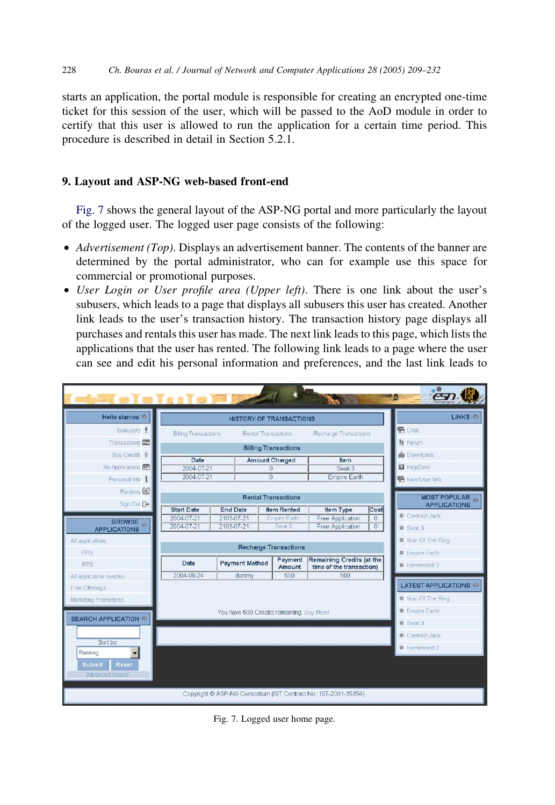starts an application, the portal module is responsible for creating an encrypted one-time ticket for this session of the user, which will be passed to the AoD module in order to certify that this user is allowed to run the application for a certain time period. This procedure is described in detail in Section 5.2.1.

# 9. Layout and ASP-NG web-based front-end

Fig. 7 shows the general layout of the ASP-NG portal and more particularly the layout of the logged user. The logged user page consists of the following:

- $\bullet$  Advertisement (Top). Displays an advertisement banner. The contents of the banner are determined by the portal administrator, who can for example use this space for commercial or promotional purposes.
- $\bullet$  User Login or User profile area (Upper left). There is one link about the user's subusers, which leads to a page that displays all subusers this user has created. Another link leads to the user's transaction history. The transaction history page displays all purchases and rentals this user has made. The next link leads to this page, which lists the applications that the user has rented. The following link leads to a page where the user can see and edit his personal information and preferences, and the last link leads to



Fig. 7. Logged user home page.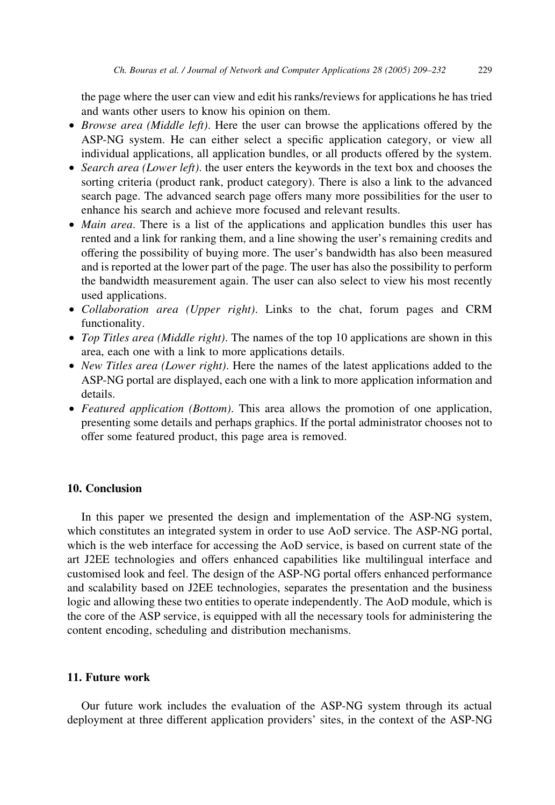the page where the user can view and edit his ranks/reviews for applications he has tried and wants other users to know his opinion on them.

- $\bullet$  *Browse area (Middle left)*. Here the user can browse the applications offered by the ASP-NG system. He can either select a specific application category, or view all individual applications, all application bundles, or all products offered by the system.
- $\bullet$  *Search area (Lower left)*. the user enters the keywords in the text box and chooses the sorting criteria (product rank, product category). There is also a link to the advanced search page. The advanced search page offers many more possibilities for the user to enhance his search and achieve more focused and relevant results.
- Main area. There is a list of the applications and application bundles this user has rented and a link for ranking them, and a line showing the user's remaining credits and offering the possibility of buying more. The user's bandwidth has also been measured and is reported at the lower part of the page. The user has also the possibility to perform the bandwidth measurement again. The user can also select to view his most recently used applications.
- Collaboration area (Upper right). Links to the chat, forum pages and CRM functionality.
- Top Titles area (Middle right). The names of the top 10 applications are shown in this area, each one with a link to more applications details.
- *New Titles area (Lower right)*. Here the names of the latest applications added to the ASP-NG portal are displayed, each one with a link to more application information and details.
- Featured application (Bottom). This area allows the promotion of one application, presenting some details and perhaps graphics. If the portal administrator chooses not to offer some featured product, this page area is removed.

# 10. Conclusion

In this paper we presented the design and implementation of the ASP-NG system, which constitutes an integrated system in order to use AoD service. The ASP-NG portal, which is the web interface for accessing the AoD service, is based on current state of the art J2EE technologies and offers enhanced capabilities like multilingual interface and customised look and feel. The design of the ASP-NG portal offers enhanced performance and scalability based on J2EE technologies, separates the presentation and the business logic and allowing these two entities to operate independently. The AoD module, which is the core of the ASP service, is equipped with all the necessary tools for administering the content encoding, scheduling and distribution mechanisms.

# 11. Future work

Our future work includes the evaluation of the ASP-NG system through its actual deployment at three different application providers' sites, in the context of the ASP-NG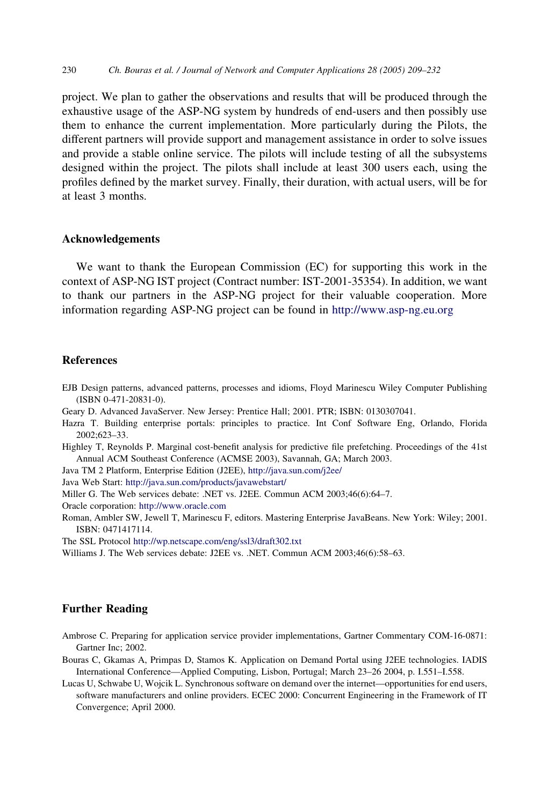<span id="page-21-0"></span>project. We plan to gather the observations and results that will be produced through the exhaustive usage of the ASP-NG system by hundreds of end-users and then possibly use them to enhance the current implementation. More particularly during the Pilots, the different partners will provide support and management assistance in order to solve issues and provide a stable online service. The pilots will include testing of all the subsystems designed within the project. The pilots shall include at least 300 users each, using the profiles defined by the market survey. Finally, their duration, with actual users, will be for at least 3 months.

#### Acknowledgements

We want to thank the European Commission (EC) for supporting this work in the context of ASP-NG IST project (Contract number: IST-2001-35354). In addition, we want to thank our partners in the ASP-NG project for their valuable cooperation. More information regarding ASP-NG project can be found in [http://www.asp-ng.eu.org](http://wp.netscape.com/eng/ssl3/draft302.txt)

## References

- EJB Design patterns, advanced patterns, processes and idioms, Floyd Marinescu Wiley Computer Publishing (ISBN 0-471-20831-0).
- Geary D. Advanced JavaServer. New Jersey: Prentice Hall; 2001. PTR; ISBN: 0130307041.
- Hazra T. Building enterprise portals: principles to practice. Int Conf Software Eng, Orlando, Florida 2002;623–33.

Highley T, Reynolds P. Marginal cost-benefit analysis for predictive file prefetching. Proceedings of the 41st Annual ACM Southeast Conference (ACMSE 2003), Savannah, GA; March 2003.

Java TM 2 Platform, Enterprise Edition (J2EE), [http://java.sun.com/j2ee/](http://wp.netscape.com/eng/ssl3/draft302.txt)

Java Web Start: [http://java.sun.com/products/javawebstart/](http://wp.netscape.com/eng/ssl3/draft302.txt)

Miller G. The Web services debate: .NET vs. J2EE. Commun ACM 2003;46(6):64–7.

Oracle corporation: [http://www.oracle.com](http://wp.netscape.com/eng/ssl3/draft302.txt)

Roman, Ambler SW, Jewell T, Marinescu F, editors. Mastering Enterprise JavaBeans. New York: Wiley; 2001. ISBN: 0471417114.

The SSL Protocol <http://wp.netscape.com/eng/ssl3/draft302.txt>

Williams J. The Web services debate: J2EE vs. .NET. Commun ACM 2003;46(6):58–63.

## Further Reading

- Ambrose C. Preparing for application service provider implementations, Gartner Commentary COM-16-0871: Gartner Inc; 2002.
- Bouras C, Gkamas A, Primpas D, Stamos K. Application on Demand Portal using J2EE technologies. IADIS International Conference—Applied Computing, Lisbon, Portugal; March 23–26 2004, p. I.551–I.558.
- Lucas U, Schwabe U, Wojcik L. Synchronous software on demand over the internet—opportunities for end users, software manufacturers and online providers. ECEC 2000: Concurrent Engineering in the Framework of IT Convergence; April 2000.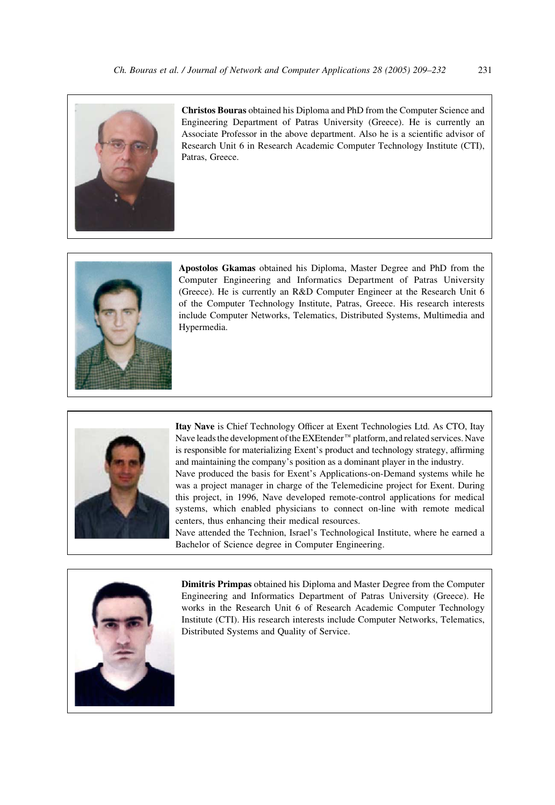

Christos Bouras obtained his Diploma and PhD from the Computer Science and Engineering Department of Patras University (Greece). He is currently an Associate Professor in the above department. Also he is a scientific advisor of Research Unit 6 in Research Academic Computer Technology Institute (CTI), Patras, Greece.



Apostolos Gkamas obtained his Diploma, Master Degree and PhD from the Computer Engineering and Informatics Department of Patras University (Greece). He is currently an R&D Computer Engineer at the Research Unit 6 of the Computer Technology Institute, Patras, Greece. His research interests include Computer Networks, Telematics, Distributed Systems, Multimedia and Hypermedia.



Itay Nave is Chief Technology Officer at Exent Technologies Ltd. As CTO, Itay Nave leads the development of the EXEtender<sup>™</sup> platform, and related services. Nave is responsible for materializing Exent's product and technology strategy, affirming and maintaining the company's position as a dominant player in the industry. Nave produced the basis for Exent's Applications-on-Demand systems while he was a project manager in charge of the Telemedicine project for Exent. During this project, in 1996, Nave developed remote-control applications for medical systems, which enabled physicians to connect on-line with remote medical centers, thus enhancing their medical resources.

Nave attended the Technion, Israel's Technological Institute, where he earned a Bachelor of Science degree in Computer Engineering.



Dimitris Primpas obtained his Diploma and Master Degree from the Computer Engineering and Informatics Department of Patras University (Greece). He works in the Research Unit 6 of Research Academic Computer Technology Institute (CTI). His research interests include Computer Networks, Telematics, Distributed Systems and Quality of Service.